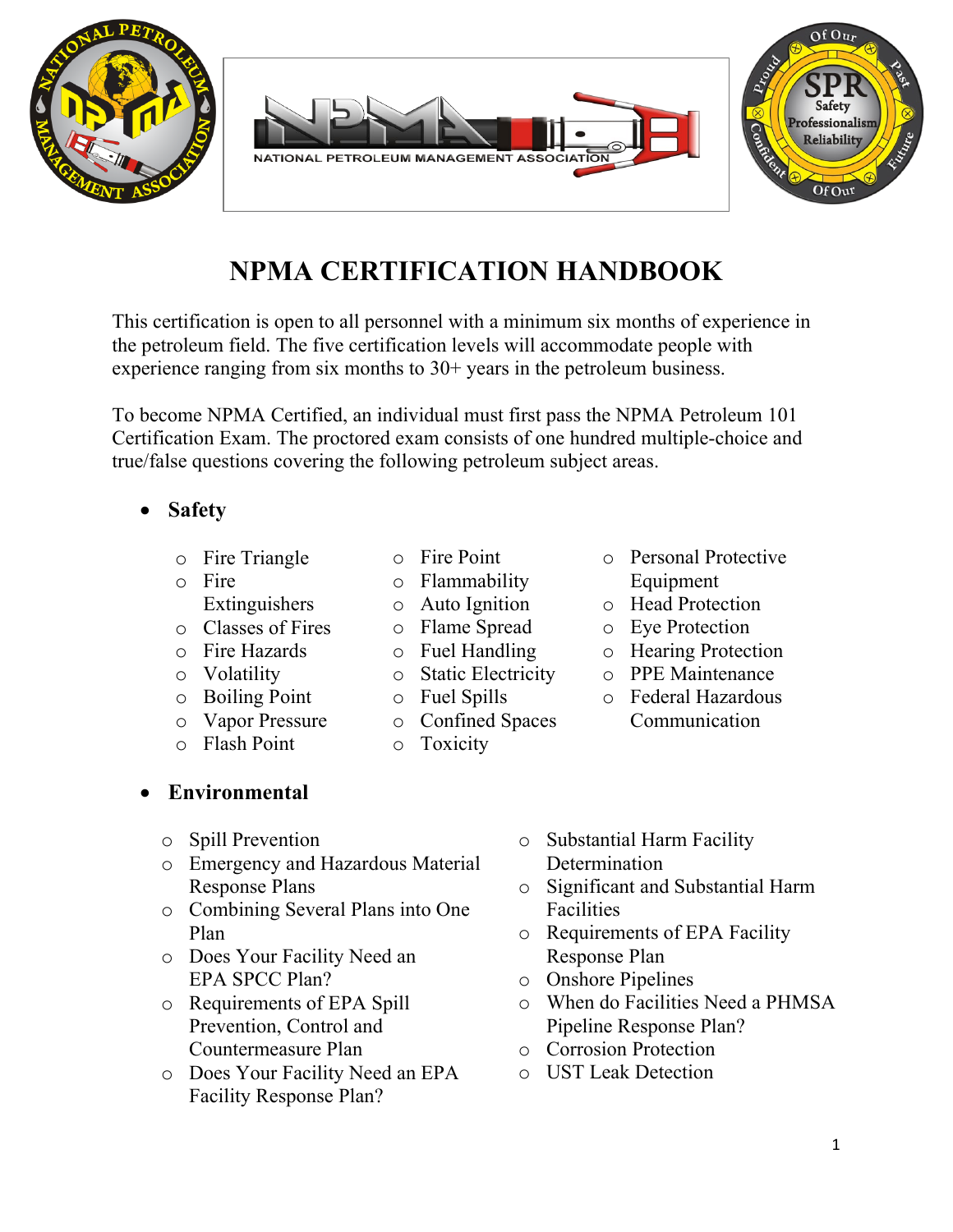# **NPMA CERTIFICATION HANDBOOK**

This certification is open to all personnel with a minimum six months of experience in the petroleum field. The five certification levels will accommodate people with experience ranging from six months to 30+ years in the petroleum business.

To become NPMA Certified, an individual must first pass the NPMA Petroleum 101 Certification Exam. The proctored exam consists of one hundred multiple-choice and true/false questions covering the following petroleum subject areas.

- **Safety**
	- o Fire Triangle
	- o Fire
		- Extinguishers
	- o Classes of Fires
	- o Fire Hazards
	- o Volatility
	- o Boiling Point
	- o Vapor Pressure o Flash Point
- - o Toxicity
- o Personal Protective Equipment
- o Head Protection
- o Eye Protection
- o Hearing Protection
- o PPE Maintenance
- o Federal Hazardous Communication

- o Spill Prevention
- o Emergency and Hazardous Material Response Plans
- o Combining Several Plans into One Plan
- o Does Your Facility Need an EPA SPCC Plan?
- o Requirements of EPA Spill Prevention, Control and Countermeasure Plan
- o Does Your Facility Need an EPA Facility Response Plan?
- o Substantial Harm Facility Determination
- o Significant and Substantial Harm Facilities
- o Requirements of EPA Facility Response Plan
- o Onshore Pipelines
- o When do Facilities Need a PHMSA Pipeline Response Plan?
- o Corrosion Protection
- o UST Leak Detection





#### o Fire Point o Flammability

- o Auto Ignition
- o Flame Spread
- o Fuel Handling
- o Static Electricity
- o Fuel Spills
- o Confined Spaces
- 
- **Environmental**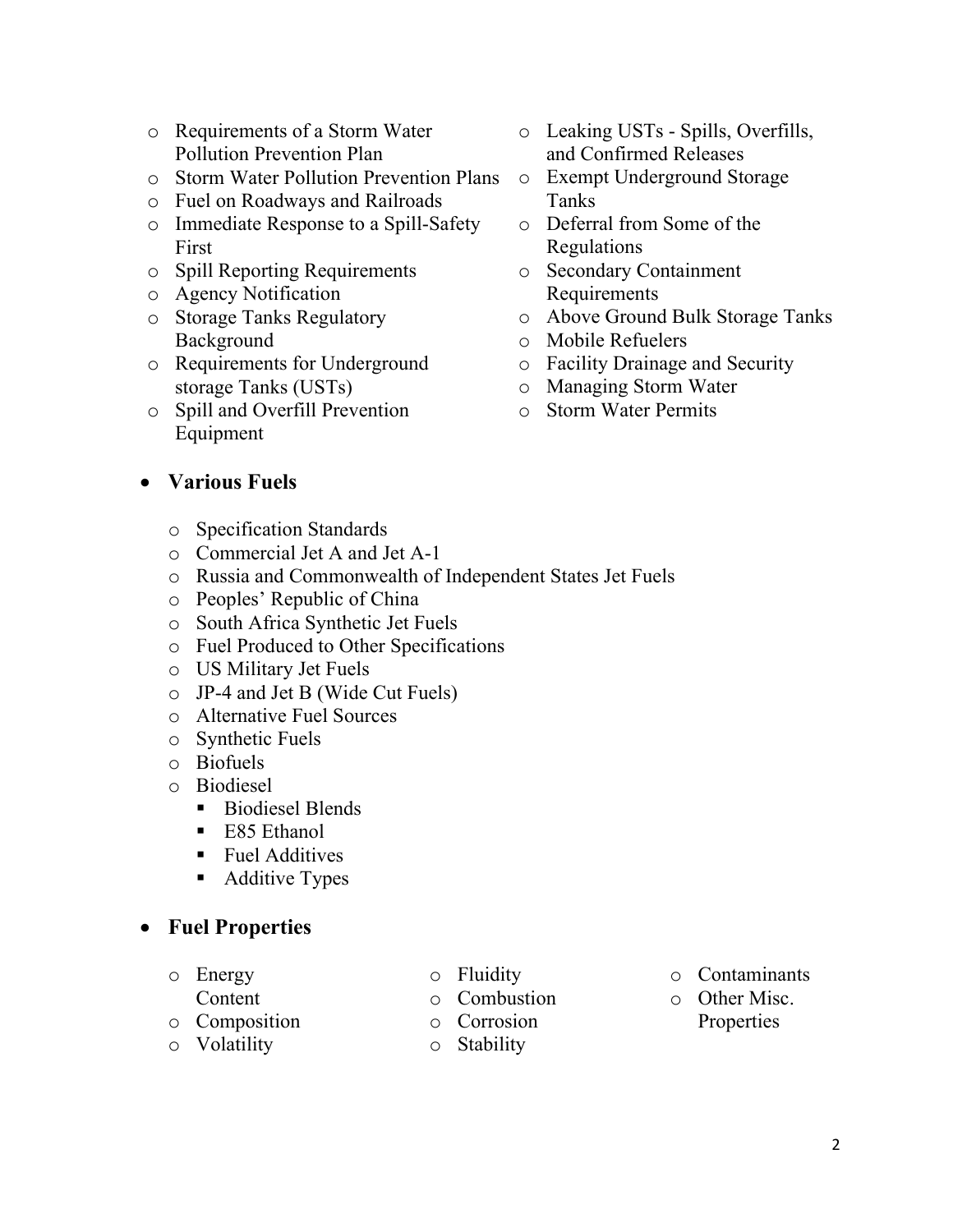- o Requirements of a Storm Water Pollution Prevention Plan
- o Storm Water Pollution Prevention Plans
- o Fuel on Roadways and Railroads
- o Immediate Response to a Spill-Safety First
- o Spill Reporting Requirements
- o Agency Notification
- o Storage Tanks Regulatory Background
- o Requirements for Underground storage Tanks (USTs)
- o Spill and Overfill Prevention Equipment
- o Leaking USTs Spills, Overfills, and Confirmed Releases
- o Exempt Underground Storage Tanks
- o Deferral from Some of the Regulations
- o Secondary Containment Requirements
- o Above Ground Bulk Storage Tanks
- o Mobile Refuelers
- o Facility Drainage and Security
- o Managing Storm Water
- o Storm Water Permits

#### • **Various Fuels**

- o Specification Standards
- o Commercial Jet A and Jet A-1
- o Russia and Commonwealth of Independent States Jet Fuels
- o Peoples' Republic of China
- o South Africa Synthetic Jet Fuels
- o Fuel Produced to Other Specifications
- o US Military Jet Fuels
- o JP-4 and Jet B (Wide Cut Fuels)
- o Alternative Fuel Sources
- o Synthetic Fuels
- o Biofuels
- o Biodiesel
	- Biodiesel Blends
	- E85 Ethanol
	- **Fuel Additives**
	- Additive Types

## • **Fuel Properties**

- o Energy
- Content o Composition
- o Volatility
- o Fluidity
- o Combustion
- o Corrosion
- o Stability
- o Contaminants
- o Other Misc. Properties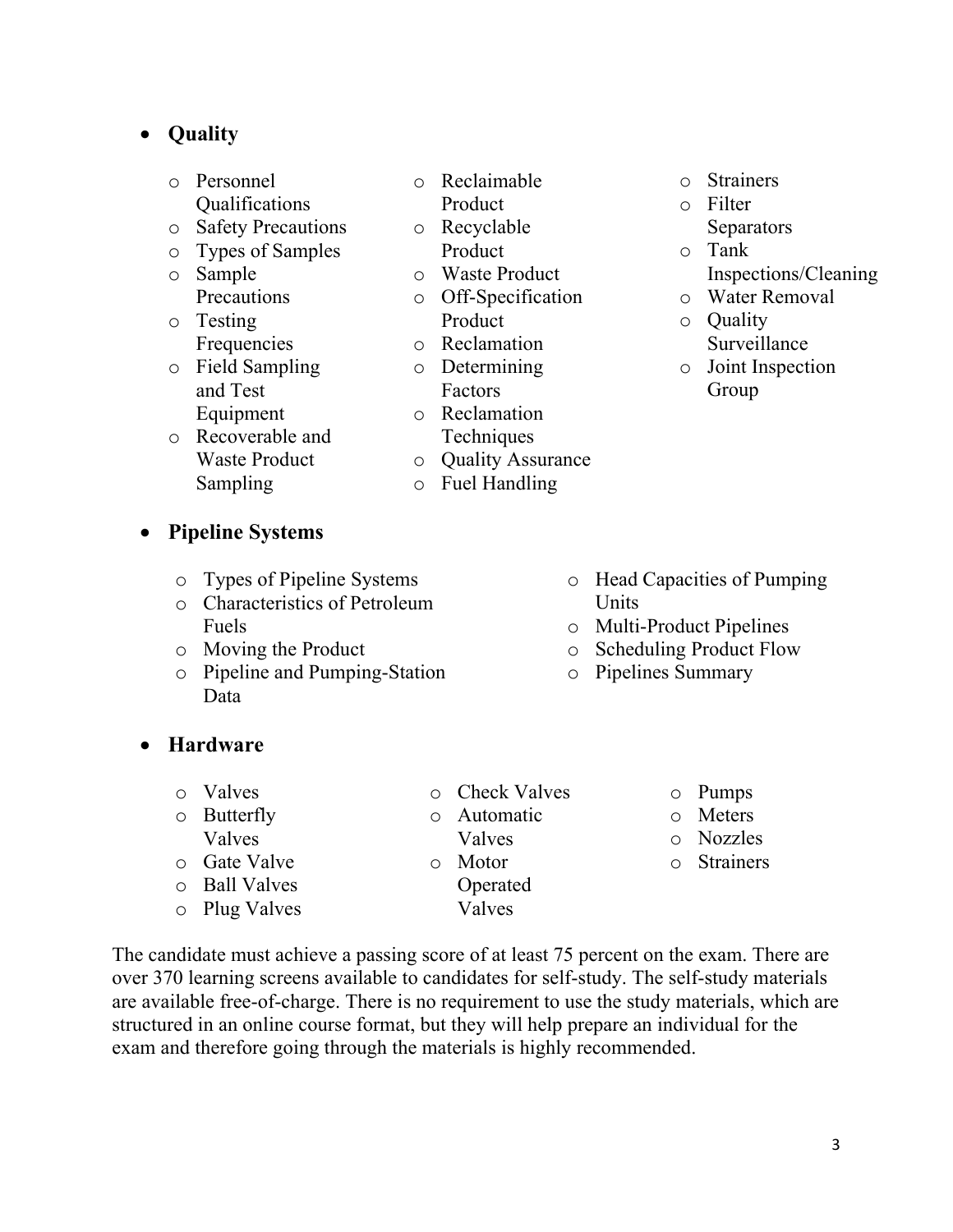#### • **Quality**

- o Personnel Qualifications
- o Safety Precautions
- o Types of Samples o Sample Precautions
- o Testing Frequencies
- o Field Sampling and Test
	- Equipment
- o Recoverable and Waste Product Sampling
- o Reclaimable Product
- o Recyclable Product
- o Waste Product
- o Off-Specification Product
- o Reclamation
- o Determining Factors
- o Reclamation **Techniques**
- o Quality Assurance
- o Fuel Handling
- o Strainers
- o Filter **Separators**
- o Tank Inspections/Cleaning
- o Water Removal
- o Quality Surveillance
- o Joint Inspection Group

- **Pipeline Systems**
	- o Types of Pipeline Systems
	- o Characteristics of Petroleum Fuels
	- o Moving the Product
	- o Pipeline and Pumping-Station Data
- o Head Capacities of Pumping **Units**
- o Multi-Product Pipelines
- o Scheduling Product Flow
- o Pipelines Summary

- **Hardware**
	- o Valves o Butterfly Valves o Gate Valve o Ball Valves o Plug Valves o Check Valves o Automatic Valves o Motor Operated Valves o Pumps o Meters o Nozzles o Strainers

The candidate must achieve a passing score of at least 75 percent on the exam. There are over 370 learning screens available to candidates for self-study. The self-study materials are available free-of-charge. There is no requirement to use the study materials, which are structured in an online course format, but they will help prepare an individual for the exam and therefore going through the materials is highly recommended.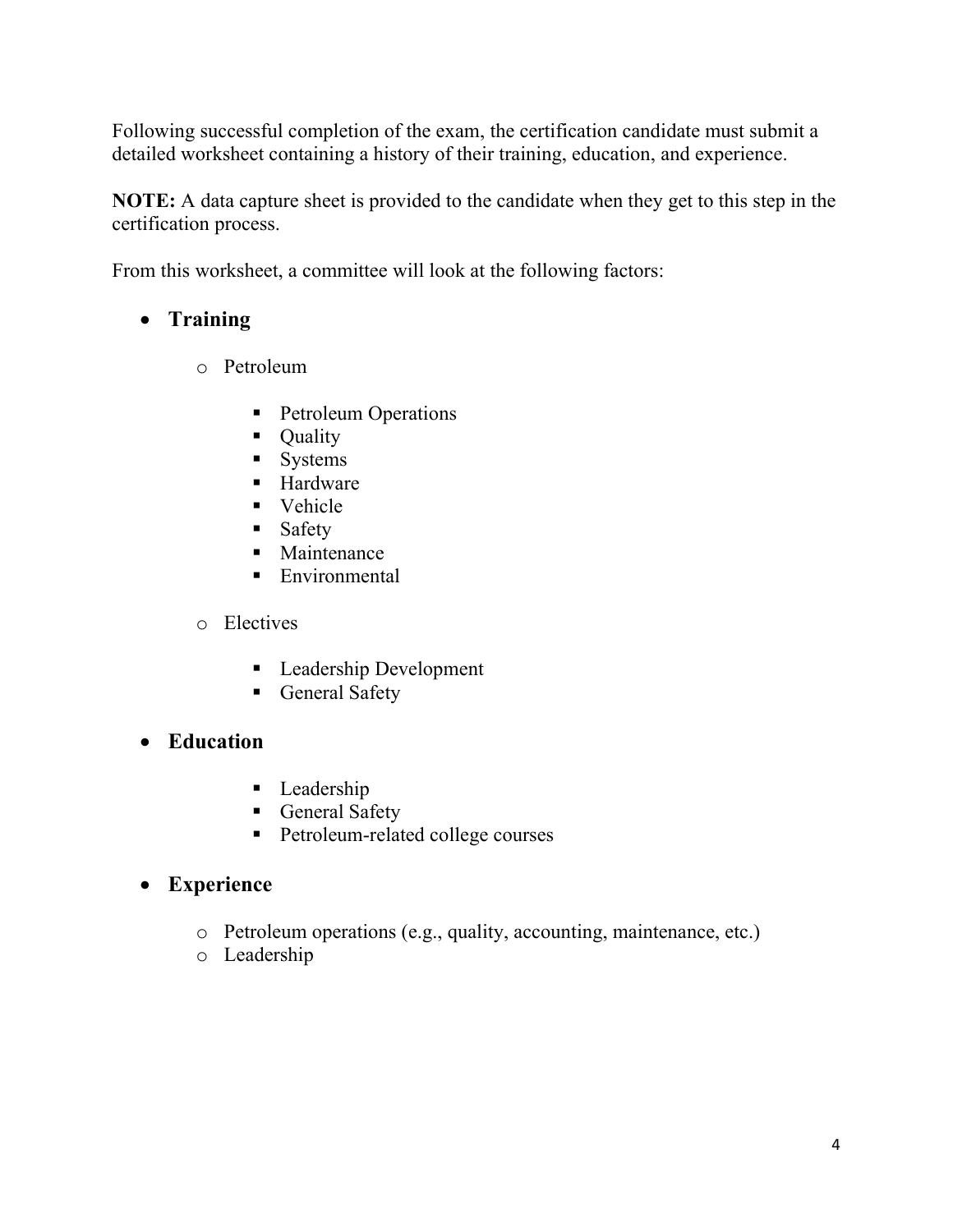Following successful completion of the exam, the certification candidate must submit a detailed worksheet containing a history of their training, education, and experience.

**NOTE:** A data capture sheet is provided to the candidate when they get to this step in the certification process.

From this worksheet, a committee will look at the following factors:

# • **Training**

- o Petroleum
	- Petroleum Operations
	- Quality
	- **Systems**
	- Hardware
	- Vehicle
	- **Safety**
	- Maintenance
	- **Environmental**

#### o Electives

- Leadership Development
- General Safety

## • **Education**

- Leadership
- General Safety
- **Petroleum-related college courses**

## • **Experience**

- o Petroleum operations (e.g., quality, accounting, maintenance, etc.)
- o Leadership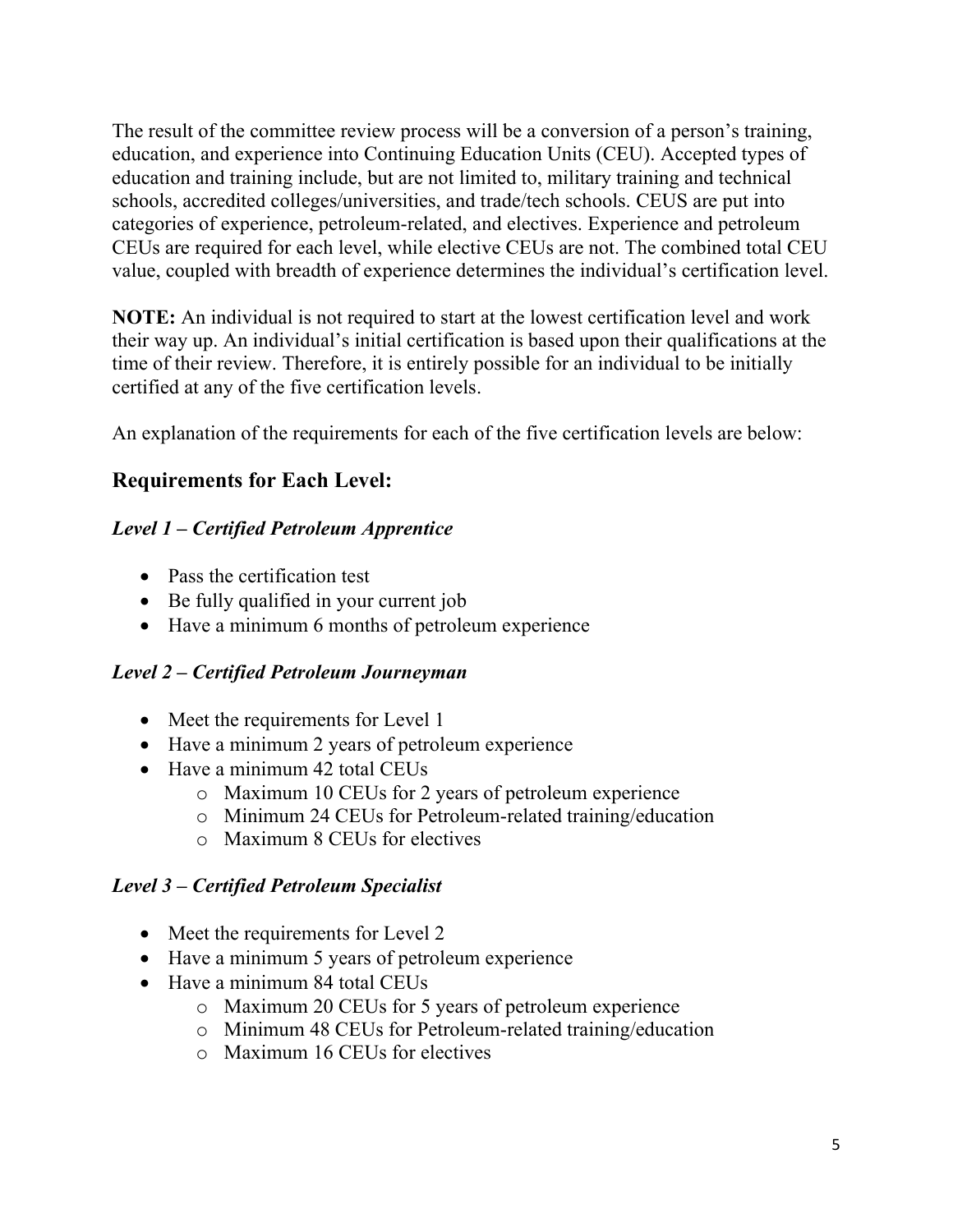The result of the committee review process will be a conversion of a person's training, education, and experience into Continuing Education Units (CEU). Accepted types of education and training include, but are not limited to, military training and technical schools, accredited colleges/universities, and trade/tech schools. CEUS are put into categories of experience, petroleum-related, and electives. Experience and petroleum CEUs are required for each level, while elective CEUs are not. The combined total CEU value, coupled with breadth of experience determines the individual's certification level.

**NOTE:** An individual is not required to start at the lowest certification level and work their way up. An individual's initial certification is based upon their qualifications at the time of their review. Therefore, it is entirely possible for an individual to be initially certified at any of the five certification levels.

An explanation of the requirements for each of the five certification levels are below:

## **Requirements for Each Level:**

## *Level 1 – Certified Petroleum Apprentice*

- Pass the certification test
- Be fully qualified in your current job
- Have a minimum 6 months of petroleum experience

## *Level 2 – Certified Petroleum Journeyman*

- Meet the requirements for Level 1
- Have a minimum 2 years of petroleum experience
- Have a minimum 42 total CEUs
	- o Maximum 10 CEUs for 2 years of petroleum experience
	- o Minimum 24 CEUs for Petroleum-related training/education
	- o Maximum 8 CEUs for electives

## *Level 3 – Certified Petroleum Specialist*

- Meet the requirements for Level 2
- Have a minimum 5 years of petroleum experience
- Have a minimum 84 total CEUs
	- o Maximum 20 CEUs for 5 years of petroleum experience
	- o Minimum 48 CEUs for Petroleum-related training/education
	- o Maximum 16 CEUs for electives